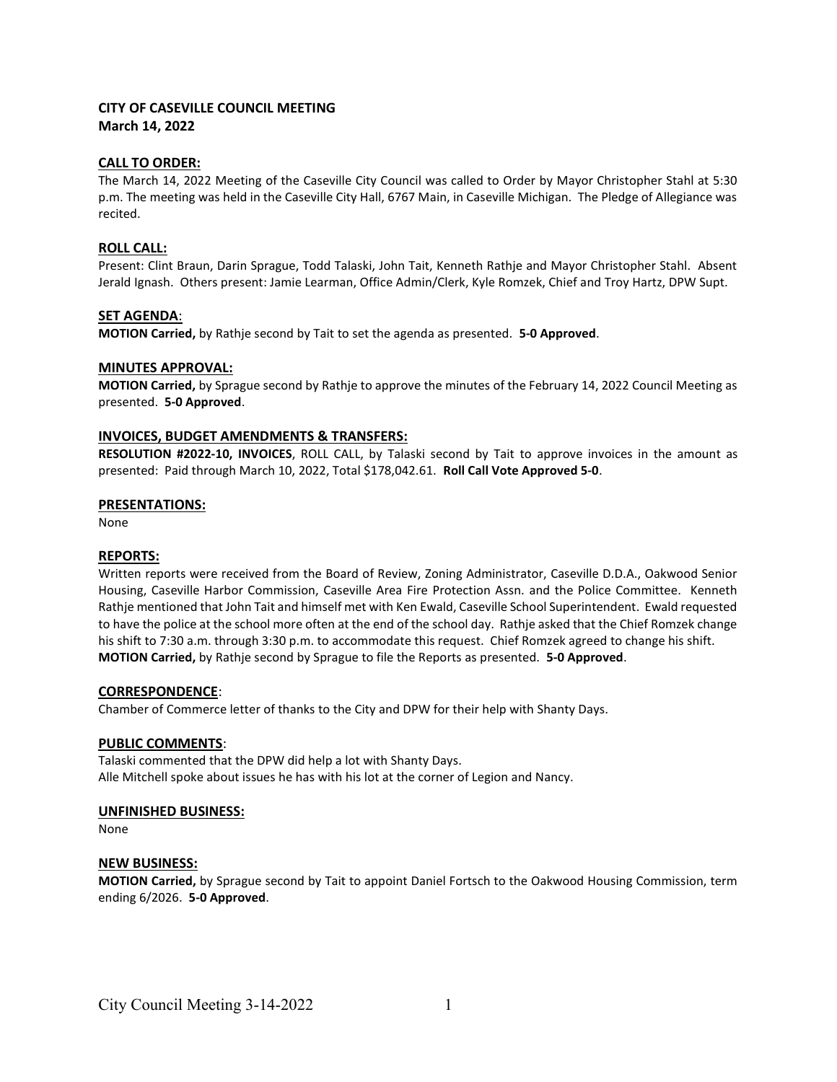## CITY OF CASEVILLE COUNCIL MEETING March 14, 2022

# CALL TO ORDER:

The March 14, 2022 Meeting of the Caseville City Council was called to Order by Mayor Christopher Stahl at 5:30 p.m. The meeting was held in the Caseville City Hall, 6767 Main, in Caseville Michigan. The Pledge of Allegiance was recited.

## ROLL CALL:

Present: Clint Braun, Darin Sprague, Todd Talaski, John Tait, Kenneth Rathje and Mayor Christopher Stahl. Absent Jerald Ignash. Others present: Jamie Learman, Office Admin/Clerk, Kyle Romzek, Chief and Troy Hartz, DPW Supt.

## SET AGENDA:

MOTION Carried, by Rathje second by Tait to set the agenda as presented. 5-0 Approved.

## MINUTES APPROVAL:

MOTION Carried, by Sprague second by Rathje to approve the minutes of the February 14, 2022 Council Meeting as presented. 5-0 Approved.

## INVOICES, BUDGET AMENDMENTS & TRANSFERS:

RESOLUTION #2022-10, INVOICES, ROLL CALL, by Talaski second by Tait to approve invoices in the amount as presented: Paid through March 10, 2022, Total \$178,042.61. Roll Call Vote Approved 5-0.

#### PRESENTATIONS:

None

#### REPORTS:

Written reports were received from the Board of Review, Zoning Administrator, Caseville D.D.A., Oakwood Senior Housing, Caseville Harbor Commission, Caseville Area Fire Protection Assn. and the Police Committee. Kenneth Rathje mentioned that John Tait and himself met with Ken Ewald, Caseville School Superintendent. Ewald requested to have the police at the school more often at the end of the school day. Rathje asked that the Chief Romzek change his shift to 7:30 a.m. through 3:30 p.m. to accommodate this request. Chief Romzek agreed to change his shift. MOTION Carried, by Rathje second by Sprague to file the Reports as presented. 5-0 Approved.

#### CORRESPONDENCE:

Chamber of Commerce letter of thanks to the City and DPW for their help with Shanty Days.

# PUBLIC COMMENTS:

Talaski commented that the DPW did help a lot with Shanty Days. Alle Mitchell spoke about issues he has with his lot at the corner of Legion and Nancy.

# UNFINISHED BUSINESS:

None

# NEW BUSINESS:

MOTION Carried, by Sprague second by Tait to appoint Daniel Fortsch to the Oakwood Housing Commission, term ending 6/2026. 5-0 Approved.